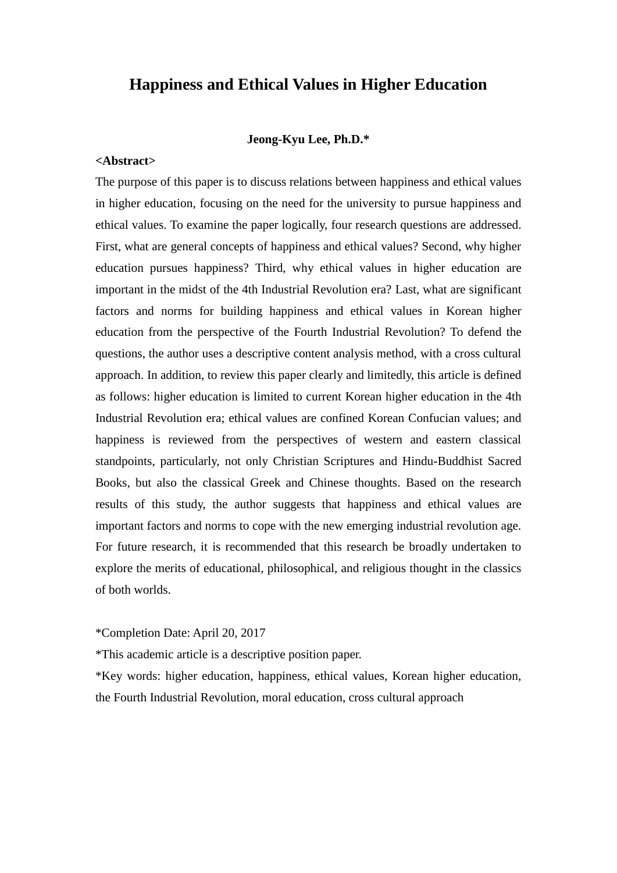## **Happiness and Ethical Values in Higher Education**

#### **Jeong-Kyu Lee, Ph.D.\***

### **<Abstract>**

The purpose of this paper is to discuss relations between happiness and ethical values in higher education, focusing on the need for the university to pursue happiness and ethical values. To examine the paper logically, four research questions are addressed. First, what are general concepts of happiness and ethical values? Second, why higher education pursues happiness? Third, why ethical values in higher education are important in the midst of the 4th Industrial Revolution era? Last, what are significant factors and norms for building happiness and ethical values in Korean higher education from the perspective of the Fourth Industrial Revolution? To defend the questions, the author uses a descriptive content analysis method, with a cross cultural approach. In addition, to review this paper clearly and limitedly, this article is defined as follows: higher education is limited to current Korean higher education in the 4th Industrial Revolution era; ethical values are confined Korean Confucian values; and happiness is reviewed from the perspectives of western and eastern classical standpoints, particularly, not only Christian Scriptures and Hindu-Buddhist Sacred Books, but also the classical Greek and Chinese thoughts. Based on the research results of this study, the author suggests that happiness and ethical values are important factors and norms to cope with the new emerging industrial revolution age. For future research, it is recommended that this research be broadly undertaken to explore the merits of educational, philosophical, and religious thought in the classics of both worlds.

\*Completion Date: April 20, 2017

\*This academic article is a descriptive position paper.

\*Key words: higher education, happiness, ethical values, Korean higher education, the Fourth Industrial Revolution, moral education, cross cultural approach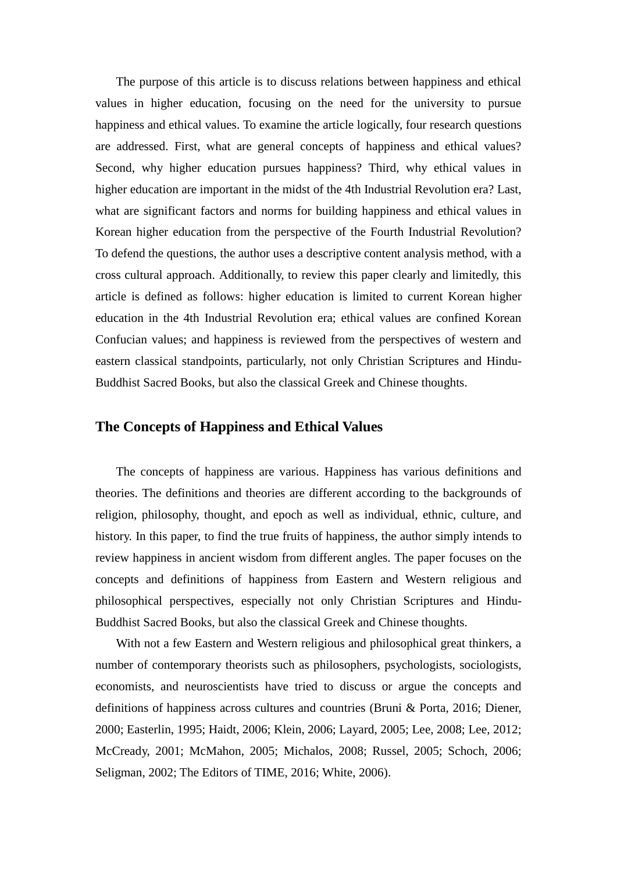The purpose of this article is to discuss relations between happiness and ethical values in higher education, focusing on the need for the university to pursue happiness and ethical values. To examine the article logically, four research questions are addressed. First, what are general concepts of happiness and ethical values? Second, why higher education pursues happiness? Third, why ethical values in higher education are important in the midst of the 4th Industrial Revolution era? Last, what are significant factors and norms for building happiness and ethical values in Korean higher education from the perspective of the Fourth Industrial Revolution? To defend the questions, the author uses a descriptive content analysis method, with a cross cultural approach. Additionally, to review this paper clearly and limitedly, this article is defined as follows: higher education is limited to current Korean higher education in the 4th Industrial Revolution era; ethical values are confined Korean Confucian values; and happiness is reviewed from the perspectives of western and eastern classical standpoints, particularly, not only Christian Scriptures and Hindu-Buddhist Sacred Books, but also the classical Greek and Chinese thoughts.

## **The Concepts of Happiness and Ethical Values**

The concepts of happiness are various. Happiness has various definitions and theories. The definitions and theories are different according to the backgrounds of religion, philosophy, thought, and epoch as well as individual, ethnic, culture, and history. In this paper, to find the true fruits of happiness, the author simply intends to review happiness in ancient wisdom from different angles. The paper focuses on the concepts and definitions of happiness from Eastern and Western religious and philosophical perspectives, especially not only Christian Scriptures and Hindu-Buddhist Sacred Books, but also the classical Greek and Chinese thoughts.

With not a few Eastern and Western religious and philosophical great thinkers, a number of contemporary theorists such as philosophers, psychologists, sociologists, economists, and neuroscientists have tried to discuss or argue the concepts and definitions of happiness across cultures and countries (Bruni & Porta, 2016; Diener, 2000; Easterlin, 1995; Haidt, 2006; Klein, 2006; Layard, 2005; Lee, 2008; Lee, 2012; McCready, 2001; McMahon, 2005; Michalos, 2008; Russel, 2005; Schoch, 2006; Seligman, 2002; The Editors of TIME, 2016; White, 2006).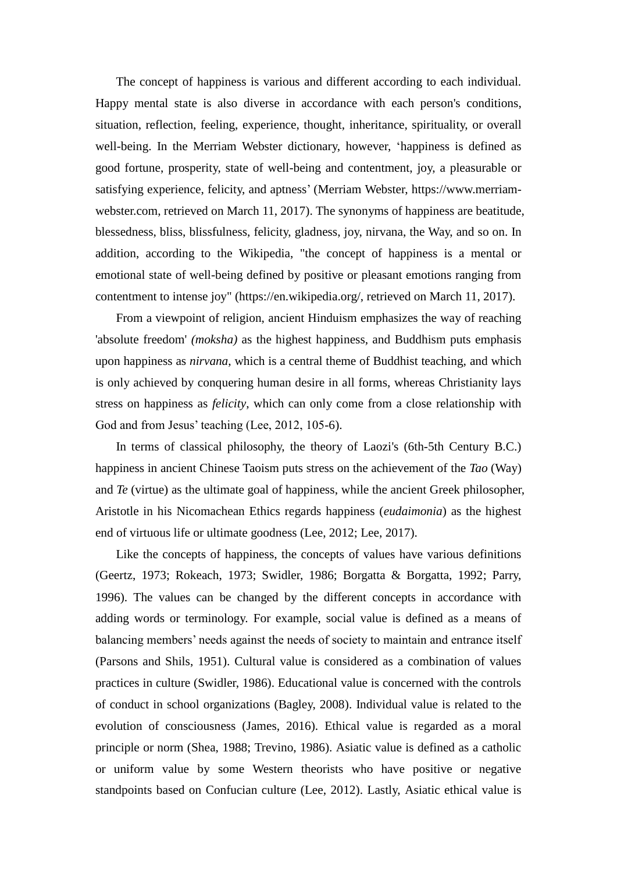The concept of happiness is various and different according to each individual. Happy mental state is also diverse in accordance with each person's conditions, situation, reflection, feeling, experience, thought, inheritance, spirituality, or overall well-being. In the Merriam Webster dictionary, however, 'happiness is defined as good fortune, prosperity, state of well-being and contentment, joy, a pleasurable or satisfying experience, felicity, and aptness' (Merriam Webster, https://www.merriamwebster.com, retrieved on March 11, 2017). The synonyms of happiness are beatitude, blessedness, bliss, blissfulness, felicity, gladness, joy, nirvana, the Way, and so on. In addition, according to the Wikipedia, "the concept of happiness is a mental or emotional state of well-being defined by positive or pleasant emotions ranging from contentment to intense joy" (https://en.wikipedia.org/, retrieved on March 11, 2017).

From a viewpoint of religion, ancient Hinduism emphasizes the way of reaching 'absolute freedom' *(moksha)* as the highest happiness, and Buddhism puts emphasis upon happiness as *nirvana*, which is a central theme of Buddhist teaching, and which is only achieved by conquering human desire in all forms, whereas Christianity lays stress on happiness as *felicity*, which can only come from a close relationship with God and from Jesus' teaching (Lee, 2012, 105-6).

In terms of classical philosophy, the theory of Laozi's (6th-5th Century B.C.) happiness in ancient Chinese Taoism puts stress on the achievement of the *Tao* (Way) and *Te* (virtue) as the ultimate goal of happiness, while the ancient Greek philosopher, Aristotle in his Nicomachean Ethics regards happiness (*eudaimonia*) as the highest end of virtuous life or ultimate goodness (Lee, 2012; Lee, 2017).

Like the concepts of happiness, the concepts of values have various definitions (Geertz, 1973; Rokeach, 1973; Swidler, 1986; Borgatta & Borgatta, 1992; Parry, 1996). The values can be changed by the different concepts in accordance with adding words or terminology. For example, social value is defined as a means of balancing members' needs against the needs of society to maintain and entrance itself (Parsons and Shils, 1951). Cultural value is considered as a combination of values practices in culture (Swidler, 1986). Educational value is concerned with the controls of conduct in school organizations (Bagley, 2008). Individual value is related to the evolution of consciousness (James, 2016). Ethical value is regarded as a moral principle or norm (Shea, 1988; Trevino, 1986). Asiatic value is defined as a catholic or uniform value by some Western theorists who have positive or negative standpoints based on Confucian culture (Lee, 2012). Lastly, Asiatic ethical value is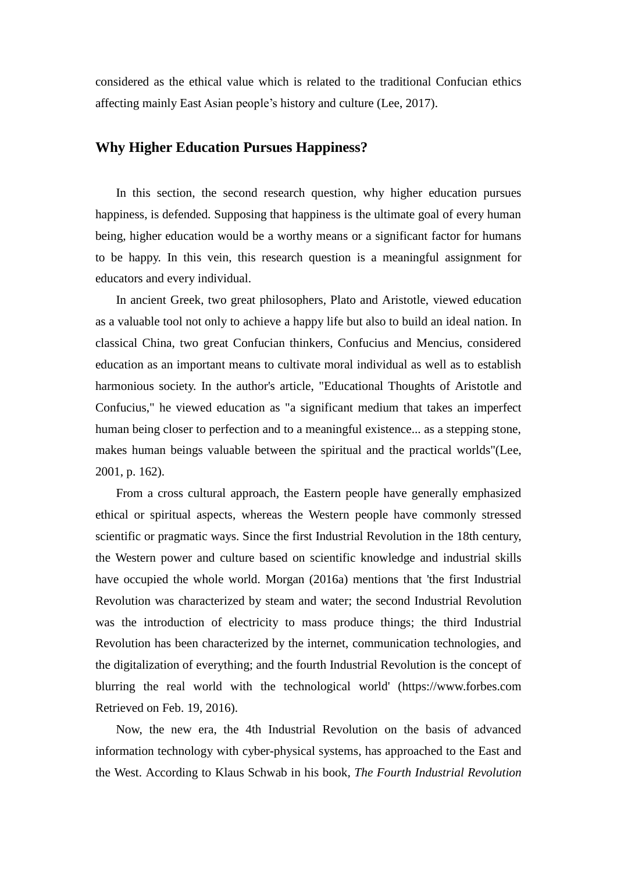considered as the ethical value which is related to the traditional Confucian ethics affecting mainly East Asian people's history and culture (Lee, 2017).

## **Why Higher Education Pursues Happiness?**

In this section, the second research question, why higher education pursues happiness, is defended. Supposing that happiness is the ultimate goal of every human being, higher education would be a worthy means or a significant factor for humans to be happy. In this vein, this research question is a meaningful assignment for educators and every individual.

In ancient Greek, two great philosophers, Plato and Aristotle, viewed education as a valuable tool not only to achieve a happy life but also to build an ideal nation. In classical China, two great Confucian thinkers, Confucius and Mencius, considered education as an important means to cultivate moral individual as well as to establish harmonious society. In the author's article, "Educational Thoughts of Aristotle and Confucius," he viewed education as "a significant medium that takes an imperfect human being closer to perfection and to a meaningful existence... as a stepping stone, makes human beings valuable between the spiritual and the practical worlds"(Lee, 2001, p. 162).

From a cross cultural approach, the Eastern people have generally emphasized ethical or spiritual aspects, whereas the Western people have commonly stressed scientific or pragmatic ways. Since the first Industrial Revolution in the 18th century, the Western power and culture based on scientific knowledge and industrial skills have occupied the whole world. Morgan (2016a) mentions that 'the first Industrial Revolution was characterized by steam and water; the second Industrial Revolution was the introduction of electricity to mass produce things; the third Industrial Revolution has been characterized by the internet, communication technologies, and the digitalization of everything; and the fourth Industrial Revolution is the concept of blurring the real world with the technological world' (https://www.forbes.com Retrieved on Feb. 19, 2016).

Now, the new era, the 4th Industrial Revolution on the basis of advanced information technology with cyber-physical systems, has approached to the East and the West. According to Klaus Schwab in his book, *The Fourth Industrial Revolution*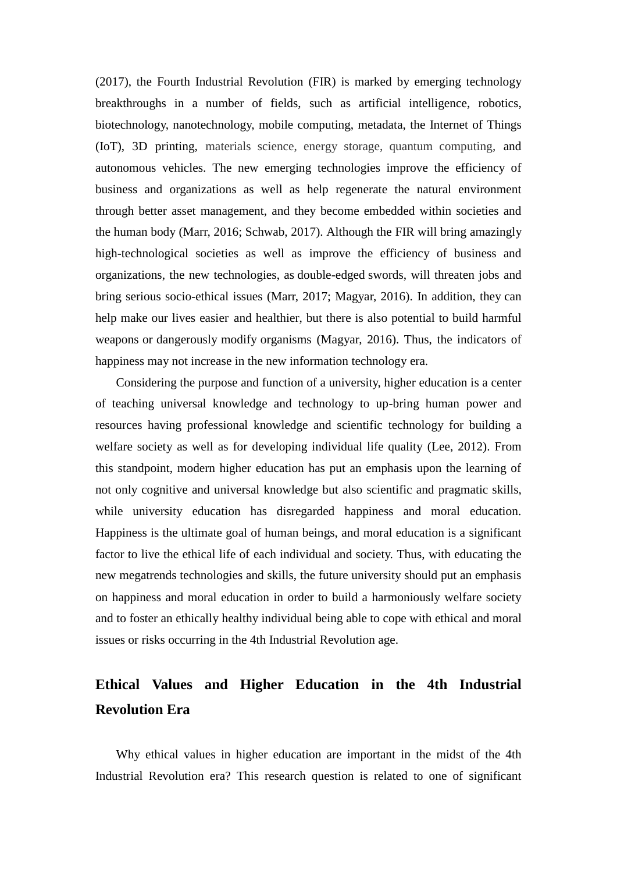(2017), the Fourth Industrial Revolution (FIR) is marked by emerging technology breakthroughs in a number of fields, such as artificial intelligence, robotics, biotechnology, nanotechnology, mobile computing, metadata, the Internet of Things (IoT), 3D printing, materials science, energy storage, quantum computing, and autonomous vehicles. The new emerging technologies improve the efficiency of business and organizations as well as help regenerate the natural environment through better asset management, and they become embedded within societies and the human body (Marr, 2016; Schwab, 2017). Although the FIR will bring amazingly high-technological societies as well as improve the efficiency of business and organizations, the new technologies, as double-edged swords, will threaten jobs and bring serious socio-ethical issues (Marr, 2017; Magyar, 2016). In addition, they can help make our lives easier and healthier, but there is also potential to build harmful weapons or dangerously modify organisms (Magyar, 2016). Thus, the indicators of happiness may not increase in the new information technology era.

Considering the purpose and function of a university, higher education is a center of teaching universal knowledge and technology to up-bring human power and resources having professional knowledge and scientific technology for building a welfare society as well as for developing individual life quality (Lee, 2012). From this standpoint, modern higher education has put an emphasis upon the learning of not only cognitive and universal knowledge but also scientific and pragmatic skills, while university education has disregarded happiness and moral education. Happiness is the ultimate goal of human beings, and moral education is a significant factor to live the ethical life of each individual and society. Thus, with educating the new megatrends technologies and skills, the future university should put an emphasis on happiness and moral education in order to build a harmoniously welfare society and to foster an ethically healthy individual being able to cope with ethical and moral issues or risks occurring in the 4th Industrial Revolution age.

# **Ethical Values and Higher Education in the 4th Industrial Revolution Era**

Why ethical values in higher education are important in the midst of the 4th Industrial Revolution era? This research question is related to one of significant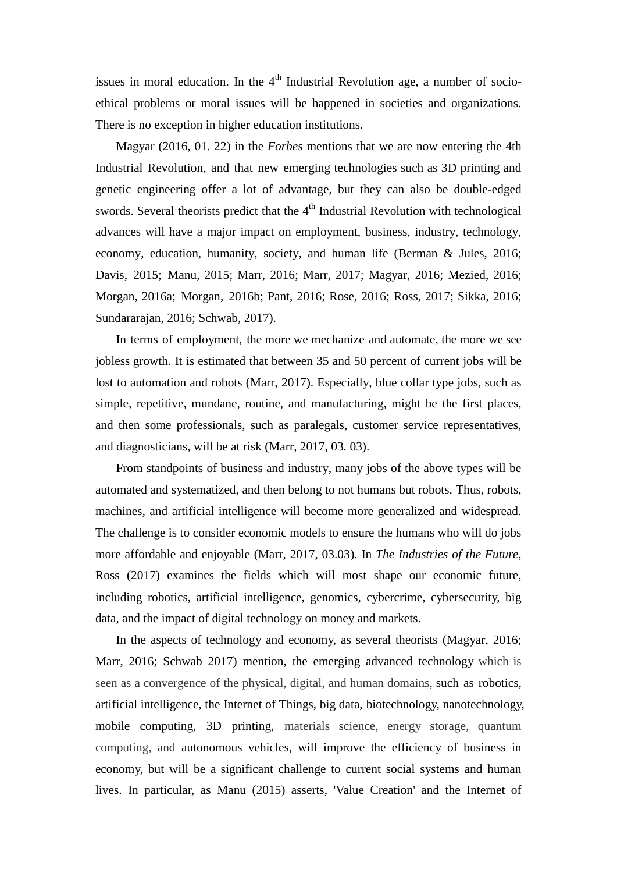issues in moral education. In the  $4<sup>th</sup>$  Industrial Revolution age, a number of socioethical problems or moral issues will be happened in societies and organizations. There is no exception in higher education institutions.

Magyar (2016, 01. 22) in the *Forbes* mentions that we are now entering the 4th Industrial Revolution, and that new emerging technologies such as 3D printing and genetic engineering offer a lot of advantage, but they can also be double-edged swords. Several theorists predict that the  $4<sup>th</sup>$  Industrial Revolution with technological advances will have a major impact on employment, business, industry, technology, economy, education, humanity, society, and human life (Berman & Jules, 2016; Davis, 2015; Manu, 2015; Marr, 2016; Marr, 2017; Magyar, 2016; Mezied, 2016; Morgan, 2016a; Morgan, 2016b; Pant, 2016; Rose, 2016; Ross, 2017; Sikka, 2016; Sundararajan, 2016; Schwab, 2017).

In terms of employment, the more we mechanize and automate, the more we see jobless growth. It is estimated that between 35 and 50 percent of current jobs will be lost to automation and robots (Marr, 2017). Especially, blue collar type jobs, such as simple, repetitive, mundane, routine, and manufacturing, might be the first places, and then some professionals, such as paralegals, customer service representatives, and diagnosticians, will be at risk (Marr, 2017, 03. 03).

From standpoints of business and industry, many jobs of the above types will be automated and systematized, and then belong to not humans but robots. Thus, robots, machines, and artificial intelligence will become more generalized and widespread. The challenge is to consider economic models to ensure the humans who will do jobs more affordable and enjoyable (Marr, 2017, 03.03). In *The Industries of the Future*, Ross (2017) examines the fields which will most shape our economic future, including robotics, artificial intelligence, genomics, cybercrime, cybersecurity, big data, and the impact of digital technology on money and markets.

In the aspects of technology and economy, as several theorists (Magyar, 2016; Marr, 2016; Schwab 2017) mention, the emerging advanced technology which is seen as a convergence of the physical, digital, and human domains, such as robotics, artificial intelligence, the Internet of Things, big data, biotechnology, nanotechnology, mobile computing, 3D printing, materials science, energy storage, quantum computing, and autonomous vehicles, will improve the efficiency of business in economy, but will be a significant challenge to current social systems and human lives. In particular, as Manu (2015) asserts, 'Value Creation' and the Internet of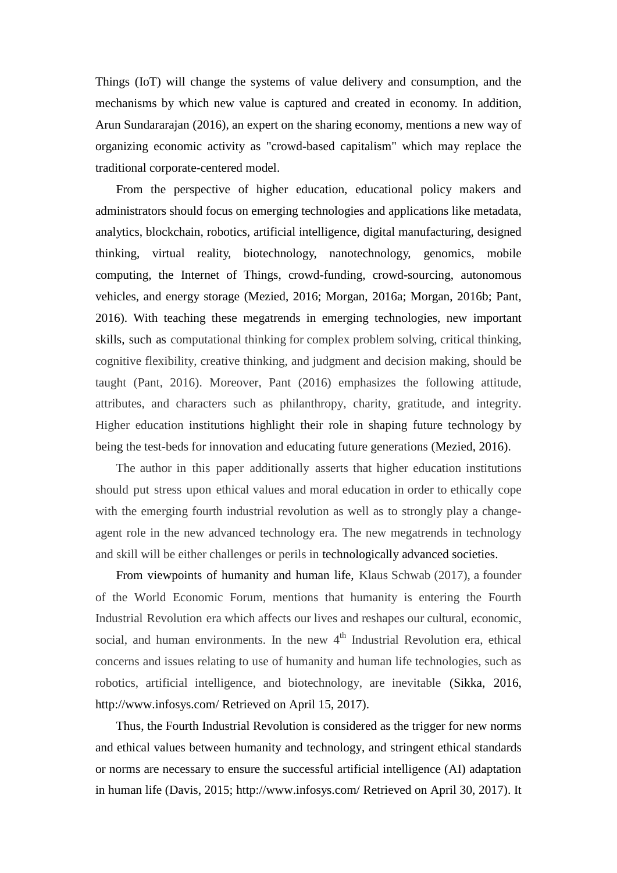Things (IoT) will change the systems of value delivery and consumption, and the mechanisms by which new value is captured and created in economy. In addition, Arun Sundararajan (2016), an expert on the sharing economy, mentions a new way of organizing economic activity as "crowd-based capitalism" which may replace the traditional corporate-centered model.

From the perspective of higher education, educational policy makers and administrators should focus on emerging technologies and applications like metadata, analytics, blockchain, robotics, artificial intelligence, digital manufacturing, designed thinking, virtual reality, biotechnology, nanotechnology, genomics, mobile computing, the Internet of Things, crowd-funding, crowd-sourcing, autonomous vehicles, and energy storage (Mezied, 2016; Morgan, 2016a; Morgan, 2016b; Pant, 2016). With teaching these megatrends in emerging technologies, new important skills, such as computational thinking for complex problem solving, critical thinking, cognitive flexibility, creative thinking, and judgment and decision making, should be taught (Pant, 2016). Moreover, Pant (2016) emphasizes the following attitude, attributes, and characters such as philanthropy, charity, gratitude, and integrity. Higher education institutions highlight their role in shaping future technology by being the test-beds for innovation and educating future generations (Mezied, 2016).

The author in this paper additionally asserts that higher education institutions should put stress upon ethical values and moral education in order to ethically cope with the emerging fourth industrial revolution as well as to strongly play a changeagent role in the new advanced technology era. The new megatrends in technology and skill will be either challenges or perils in technologically advanced societies.

From viewpoints of humanity and human life, Klaus Schwab (2017), a founder of the World Economic Forum, mentions that humanity is entering the Fourth Industrial Revolution era which affects our lives and reshapes our cultural, economic, social, and human environments. In the new  $4<sup>th</sup>$  Industrial Revolution era, ethical concerns and issues relating to use of humanity and human life technologies, such as robotics, artificial intelligence, and biotechnology, are inevitable (Sikka, 2016, <http://www.infosys.com/> Retrieved on April 15, 2017).

Thus, the Fourth Industrial Revolution is considered as the trigger for new norms and ethical values between humanity and technology, and stringent ethical standards or norms are necessary to ensure the successful artificial intelligence (AI) adaptation in human life (Davis, 2015;<http://www.infosys.com/> Retrieved on April 30, 2017). It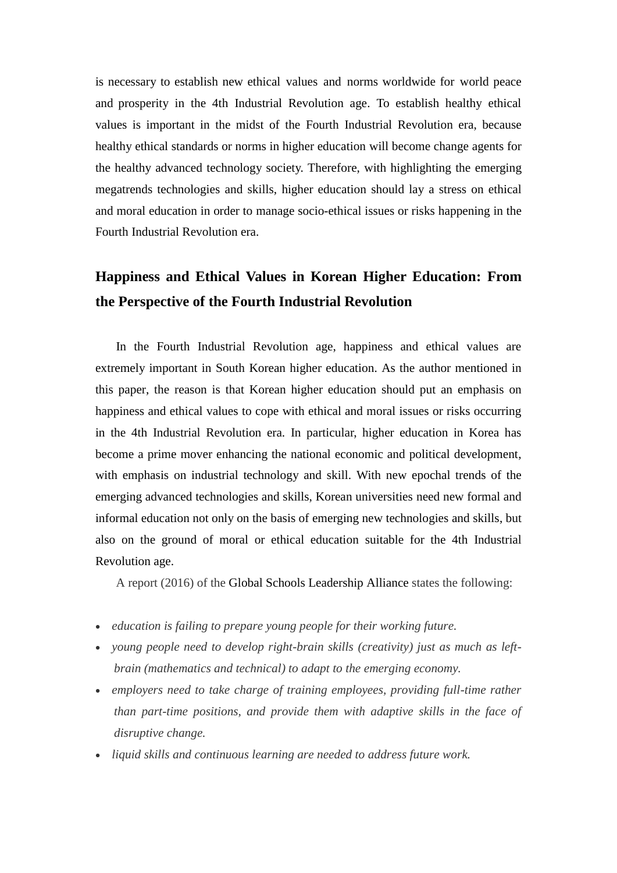is necessary to establish new ethical values and norms worldwide for world peace and prosperity in the 4th Industrial Revolution age. To establish healthy ethical values is important in the midst of the Fourth Industrial Revolution era, because healthy ethical standards or norms in higher education will become change agents for the healthy advanced technology society. Therefore, with highlighting the emerging megatrends technologies and skills, higher education should lay a stress on ethical and moral education in order to manage socio-ethical issues or risks happening in the Fourth Industrial Revolution era.

# **Happiness and Ethical Values in Korean Higher Education: From the Perspective of the Fourth Industrial Revolution**

In the Fourth Industrial Revolution age, happiness and ethical values are extremely important in South Korean higher education. As the author mentioned in this paper, the reason is that Korean higher education should put an emphasis on happiness and ethical values to cope with ethical and moral issues or risks occurring in the 4th Industrial Revolution era. In particular, higher education in Korea has become a prime mover enhancing the national economic and political development, with emphasis on industrial technology and skill. With new epochal trends of the emerging advanced technologies and skills, Korean universities need new formal and informal education not only on the basis of emerging new technologies and skills, but also on the ground of moral or ethical education suitable for the 4th Industrial Revolution age.

A report (2016) of the [Global Schools Leadership Alliance](http://www.schoolsalliance.org/news/2016/2/3/global-perceptions-of-education-and-the-fourth-industrial-revolution) states the following:

- *education is failing to prepare young people for their working future.*
- young people need to develop right-brain skills (creativity) just as much as left*brain (mathematics and technical) to adapt to the emerging economy.*
- *employers need to take charge of training employees, providing full-time rather than part-time positions, and provide them with adaptive skills in the face of disruptive change.*
- *liquid skills and continuous learning are needed to address future work.*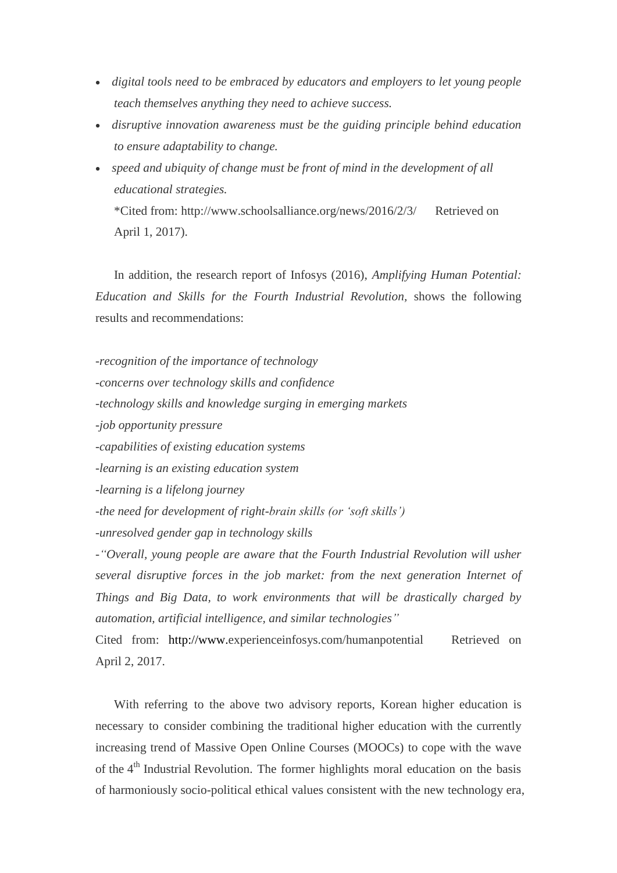- *digital tools need to be embraced by educators and employers to let young people teach themselves anything they need to achieve success.*
- *disruptive innovation awareness must be the guiding principle behind education to ensure adaptability to change.*
- *speed and ubiquity of change must be front of mind in the development of all educational strategies.* \*Cited from: http://www.schoolsalliance.org/news/2016/2/3/ Retrieved on April 1, 2017).

In addition, the research report of Infosys (2016), *Amplifying Human Potential: Education and Skills for the Fourth Industrial Revolution,* shows the following results and recommendations:

*-recognition of the importance of technology*

*-concerns over technology skills and confidence*

*-technology skills and knowledge surging in emerging markets*

*-job opportunity pressure*

*-capabilities of existing education systems*

*-learning is an existing education system*

*-learning is a lifelong journey*

*-the need for development of right-brain skills (or "soft skills")*

*-unresolved gender gap in technology skills*

*-"Overall, young people are aware that the Fourth Industrial Revolution will usher several disruptive forces in the job market: from the next generation Internet of Things and Big Data, to work environments that will be drastically charged by automation, artificial intelligence, and similar technologies"*

Cited from: [http://www.](http://www/)experienceinfosys.com/humanpotential Retrieved on April 2, 2017.

With referring to the above two advisory reports, Korean higher education is necessary to consider combining the traditional higher education with the currently increasing trend of Massive Open Online Courses (MOOCs) to cope with the wave of the  $4<sup>th</sup>$  Industrial Revolution. The former highlights moral education on the basis of harmoniously socio-political ethical values consistent with the new technology era,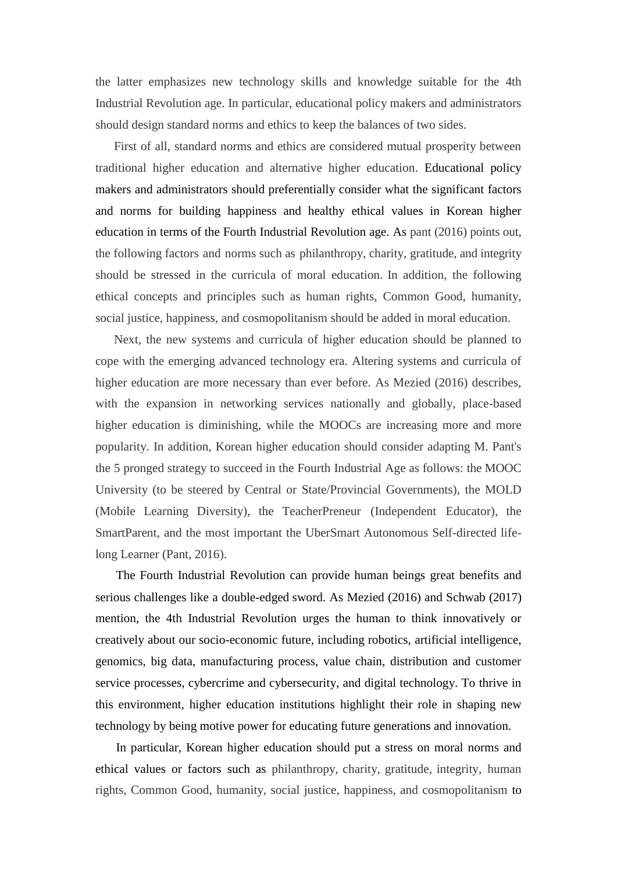the latter emphasizes new technology skills and knowledge suitable for the 4th Industrial Revolution age. In particular, educational policy makers and administrators should design standard norms and ethics to keep the balances of two sides.

First of all, standard norms and ethics are considered mutual prosperity between traditional higher education and alternative higher education. Educational policy makers and administrators should preferentially consider what the significant factors and norms for building happiness and healthy ethical values in Korean higher education in terms of the Fourth Industrial Revolution age. As pant (2016) points out, the following factors and norms such as philanthropy, charity, gratitude, and integrity should be stressed in the curricula of moral education. In addition, the following ethical concepts and principles such as human rights, Common Good, humanity, social justice, happiness, and cosmopolitanism should be added in moral education.

Next, the new systems and curricula of higher education should be planned to cope with the emerging advanced technology era. Altering systems and curricula of higher education are more necessary than ever before. As Mezied (2016) describes, with the expansion in networking services nationally and globally, place-based higher education is diminishing, while the MOOCs are increasing more and more popularity. In addition, Korean higher education should consider adapting M. Pant's the 5 pronged strategy to succeed in the Fourth Industrial Age as follows: the MOOC University (to be steered by Central or State/Provincial Governments), the MOLD (Mobile Learning Diversity), the TeacherPreneur (Independent Educator), the SmartParent, and the most important the UberSmart Autonomous Self-directed lifelong Learner (Pant, 2016).

The Fourth Industrial Revolution can provide human beings great benefits and serious challenges like a double-edged sword. As Mezied (2016) and Schwab (2017) mention, the 4th Industrial Revolution urges the human to think innovatively or creatively about our socio-economic future, including robotics, artificial intelligence, genomics, big data, manufacturing process, value chain, distribution and customer service processes, cybercrime and cybersecurity, and digital technology. To thrive in this environment, higher education institutions highlight their role in shaping new technology by being motive power for educating future generations and innovation.

In particular, Korean higher education should put a stress on moral norms and ethical values or factors such as philanthropy, charity, gratitude, integrity, human rights, Common Good, humanity, social justice, happiness, and cosmopolitanism to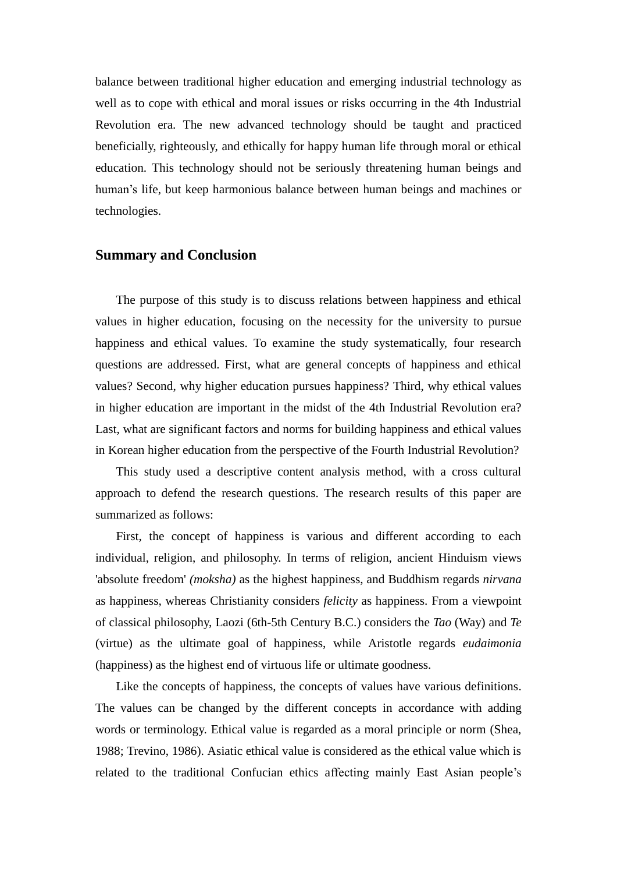balance between traditional higher education and emerging industrial technology as well as to cope with ethical and moral issues or risks occurring in the 4th Industrial Revolution era. The new advanced technology should be taught and practiced beneficially, righteously, and ethically for happy human life through moral or ethical education. This technology should not be seriously threatening human beings and human's life, but keep harmonious balance between human beings and machines or technologies.

### **Summary and Conclusion**

The purpose of this study is to discuss relations between happiness and ethical values in higher education, focusing on the necessity for the university to pursue happiness and ethical values. To examine the study systematically, four research questions are addressed. First, what are general concepts of happiness and ethical values? Second, why higher education pursues happiness? Third, why ethical values in higher education are important in the midst of the 4th Industrial Revolution era? Last, what are significant factors and norms for building happiness and ethical values in Korean higher education from the perspective of the Fourth Industrial Revolution?

This study used a descriptive content analysis method, with a cross cultural approach to defend the research questions. The research results of this paper are summarized as follows:

First, the concept of happiness is various and different according to each individual, religion, and philosophy. In terms of religion, ancient Hinduism views 'absolute freedom' *(moksha)* as the highest happiness, and Buddhism regards *nirvana* as happiness, whereas Christianity considers *felicity* as happiness. From a viewpoint of classical philosophy, Laozi (6th-5th Century B.C.) considers the *Tao* (Way) and *Te* (virtue) as the ultimate goal of happiness, while Aristotle regards *eudaimonia* (happiness) as the highest end of virtuous life or ultimate goodness.

Like the concepts of happiness, the concepts of values have various definitions. The values can be changed by the different concepts in accordance with adding words or terminology. Ethical value is regarded as a moral principle or norm (Shea, 1988; Trevino, 1986). Asiatic ethical value is considered as the ethical value which is related to the traditional Confucian ethics affecting mainly East Asian people's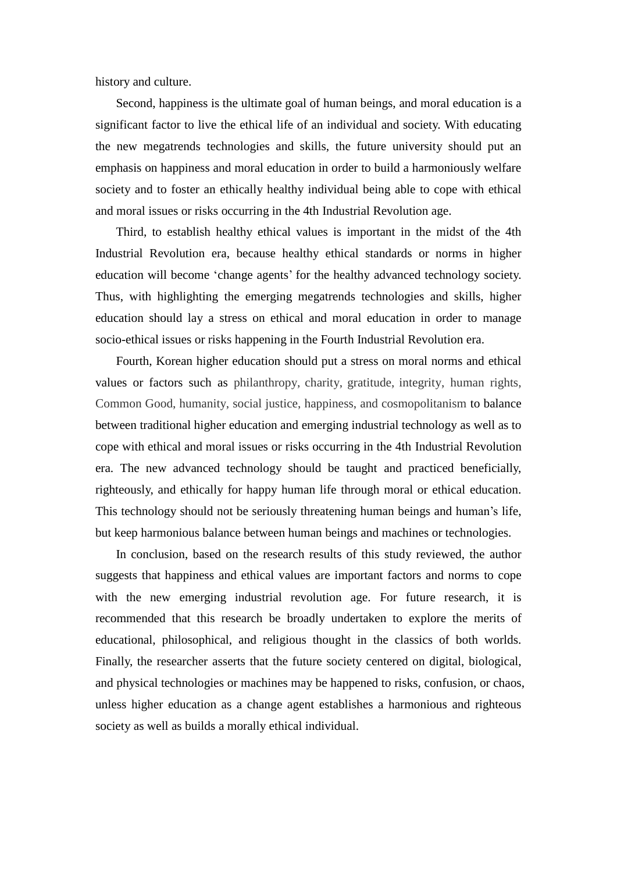history and culture.

Second, happiness is the ultimate goal of human beings, and moral education is a significant factor to live the ethical life of an individual and society. With educating the new megatrends technologies and skills, the future university should put an emphasis on happiness and moral education in order to build a harmoniously welfare society and to foster an ethically healthy individual being able to cope with ethical and moral issues or risks occurring in the 4th Industrial Revolution age.

Third, to establish healthy ethical values is important in the midst of the 4th Industrial Revolution era, because healthy ethical standards or norms in higher education will become 'change agents' for the healthy advanced technology society. Thus, with highlighting the emerging megatrends technologies and skills, higher education should lay a stress on ethical and moral education in order to manage socio-ethical issues or risks happening in the Fourth Industrial Revolution era.

Fourth, Korean higher education should put a stress on moral norms and ethical values or factors such as philanthropy, charity, gratitude, integrity, human rights, Common Good, humanity, social justice, happiness, and cosmopolitanism to balance between traditional higher education and emerging industrial technology as well as to cope with ethical and moral issues or risks occurring in the 4th Industrial Revolution era. The new advanced technology should be taught and practiced beneficially, righteously, and ethically for happy human life through moral or ethical education. This technology should not be seriously threatening human beings and human's life, but keep harmonious balance between human beings and machines or technologies.

In conclusion, based on the research results of this study reviewed, the author suggests that happiness and ethical values are important factors and norms to cope with the new emerging industrial revolution age. For future research, it is recommended that this research be broadly undertaken to explore the merits of educational, philosophical, and religious thought in the classics of both worlds. Finally, the researcher asserts that the future society centered on digital, biological, and physical technologies or machines may be happened to risks, confusion, or chaos, unless higher education as a change agent establishes a harmonious and righteous society as well as builds a morally ethical individual.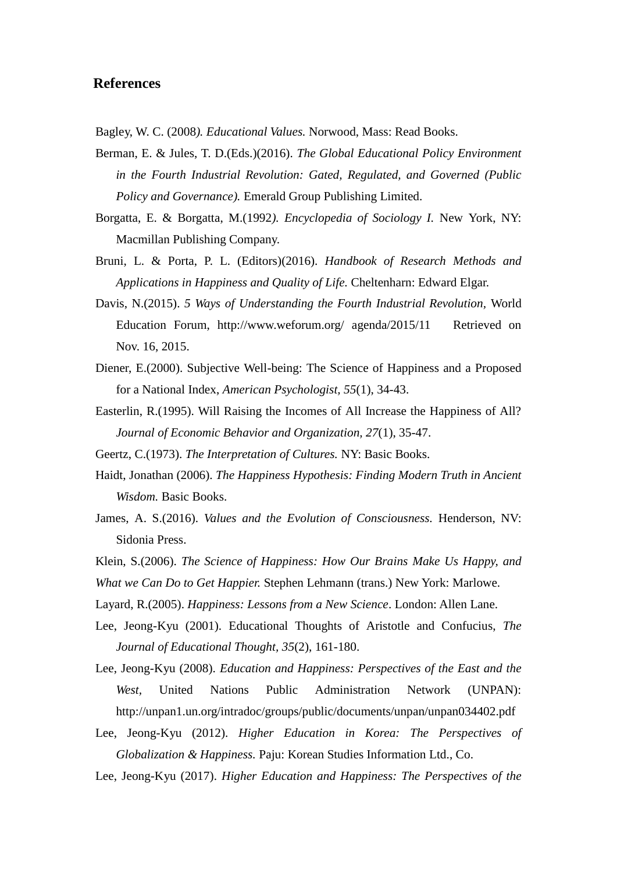### **References**

Bagley, W. C. (2008*). Educational Values.* Norwood, Mass: Read Books.

Berman, E. & Jules, T. D.(Eds.)(2016). *The Global Educational Policy Environment in the Fourth Industrial Revolution: Gated, Regulated, and Governed (Public Policy and Governance).* Emerald Group Publishing Limited.

Borgatta, E. & Borgatta, M.(1992*). Encyclopedia of Sociology I.* New York, NY: Macmillan Publishing Company.

- Bruni, L. & Porta, P. L. (Editors)(2016). *Handbook of Research Methods and Applications in Happiness and Quality of Life.* Cheltenharn: Edward Elgar.
- Davis, N.(2015). *5 Ways of Understanding the Fourth Industrial Revolution,* World Education Forum, http://www.weforum.org/ agenda/2015/11 Retrieved on Nov. 16, 2015.
- Diener, E.(2000). Subjective Well-being: The Science of Happiness and a Proposed for a National Index, *American Psychologist, 55*(1), 34-43.
- Easterlin, R.(1995). Will Raising the Incomes of All Increase the Happiness of All? *Journal of Economic Behavior and Organization, 27*(1), 35-47.

Geertz, C.(1973). *The Interpretation of Cultures.* NY: Basic Books.

- Haidt, Jonathan (2006). *The Happiness Hypothesis: Finding Modern Truth in Ancient Wisdom.* Basic Books.
- James, A. S.(2016). *Values and the Evolution of Consciousness.* Henderson, NV: Sidonia Press.
- Klein, S.(2006). *The Science of Happiness: How Our Brains Make Us Happy, and*
- *What we Can Do to Get Happier.* Stephen Lehmann (trans.) New York: Marlowe.
- Layard, R.(2005). *Happiness: Lessons from a New Science*. London: Allen Lane.
- Lee, Jeong-Kyu (2001). Educational Thoughts of Aristotle and Confucius, *The Journal of Educational Thought, 35*(2), 161-180.
- Lee, Jeong-Kyu (2008). *Education and Happiness: Perspectives of the East and the West,* United Nations Public Administration Network (UNPAN): http://unpan1.un.org/intradoc/groups/public/documents/unpan/unpan034402.pdf
- Lee, Jeong-Kyu (2012). *Higher Education in Korea: The Perspectives of Globalization & Happiness.* Paju: Korean Studies Information Ltd., Co.
- Lee, Jeong-Kyu (2017). *Higher Education and Happiness: The Perspectives of the*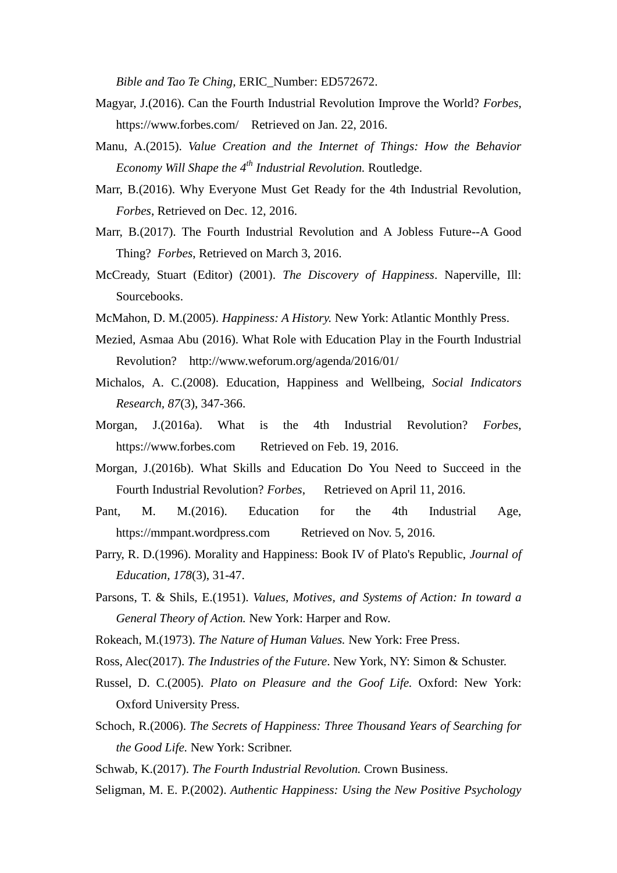*Bible and Tao Te Ching,* ERIC\_Number: ED572672.

- Magyar, J.(2016). Can the Fourth Industrial Revolution Improve the World? *Forbes,* https://www.forbes.com/ Retrieved on Jan. 22, 2016.
- Manu, A.(2015). *Value Creation and the Internet of Things: How the Behavior Economy Will Shape the 4th Industrial Revolution.* Routledge.
- Marr, B.(2016). Why Everyone Must Get Ready for the 4th Industrial Revolution, *Forbes*, Retrieved on Dec. 12, 2016.
- Marr, B.(2017). The Fourth Industrial Revolution and A Jobless Future--A Good Thing? *Forbes*, Retrieved on March 3, 2016.
- McCready, Stuart (Editor) (2001). *The Discovery of Happiness*. Naperville, Ill: Sourcebooks.
- McMahon, D. M.(2005). *Happiness: A History.* New York: Atlantic Monthly Press.
- Mezied, Asmaa Abu (2016). What Role with Education Play in the Fourth Industrial Revolution? http://www.weforum.org/agenda/2016/01/
- Michalos, A. C.(2008). Education, Happiness and Wellbeing, *Social Indicators Research, 87*(3), 347-366.
- Morgan, J.(2016a). What is the 4th Industrial Revolution? *Forbes*, https://www.forbes.com Retrieved on Feb. 19, 2016.
- Morgan, J.(2016b). What Skills and Education Do You Need to Succeed in the Fourth Industrial Revolution? *Forbes*, Retrieved on April 11, 2016.
- Pant, M. M. (2016). Education for the 4th Industrial Age, https://mmpant.wordpress.com Retrieved on Nov. 5, 2016.
- Parry, R. D.(1996). Morality and Happiness: Book IV of Plato's Republic, *Journal of Education, 178*(3), 31-47.
- Parsons, T. & Shils, E.(1951). *Values, Motives, and Systems of Action: In toward a General Theory of Action.* New York: Harper and Row.
- Rokeach, M.(1973). *The Nature of Human Values.* New York: Free Press.
- Ross, Alec(2017). *The Industries of the Future*. New York, NY: Simon & Schuster.
- Russel, D. C.(2005). *Plato on Pleasure and the Goof Life.* Oxford: New York: Oxford University Press.
- Schoch, R.(2006). *The Secrets of Happiness: Three Thousand Years of Searching for the Good Life.* New York: Scribner.
- Schwab, K.(2017). *The Fourth Industrial Revolution.* Crown Business.
- Seligman, M. E. P.(2002). *Authentic Happiness: Using the New Positive Psychology*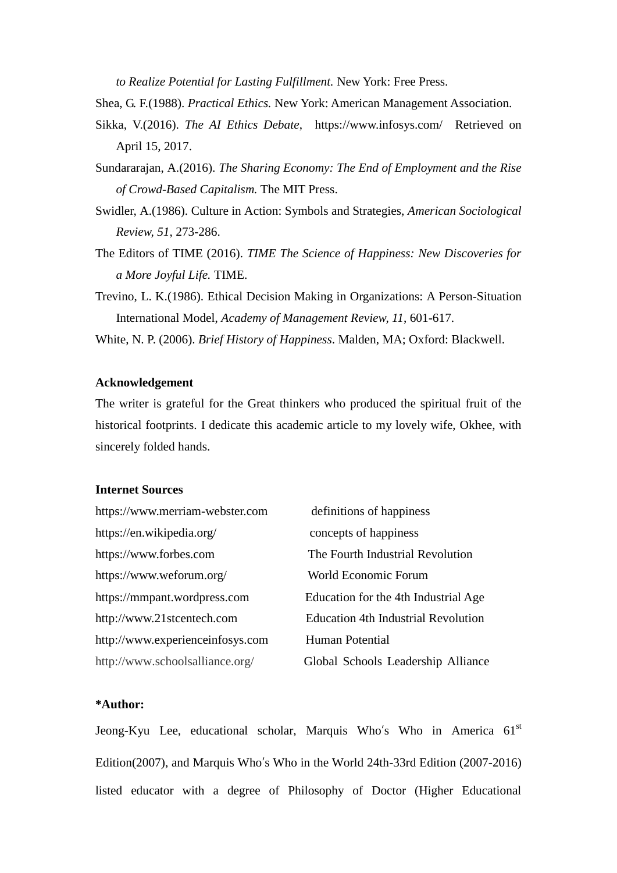*to Realize Potential for Lasting Fulfillment.* New York: Free Press.

Shea, G. F.(1988). *Practical Ethics.* New York: American Management Association.

- Sikka, V.(2016). *The AI Ethics Debate*, https://www.infosys.com/ Retrieved on April 15, 2017.
- Sundararajan, A.(2016). *The Sharing Economy: The End of Employment and the Rise of Crowd-Based Capitalism.* The MIT Press.
- Swidler, A.(1986). Culture in Action: Symbols and Strategies, *American Sociological Review, 51*, 273-286.
- The Editors of TIME (2016). *TIME The Science of Happiness: New Discoveries for a More Joyful Life.* TIME.
- Trevino, L. K.(1986). Ethical Decision Making in Organizations: A Person-Situation International Model, *Academy of Management Review, 11*, 601-617.

White, N. P. (2006). *Brief History of Happiness*. Malden, MA; Oxford: Blackwell.

### **Acknowledgement**

The writer is grateful for the Great thinkers who produced the spiritual fruit of the historical footprints. I dedicate this academic article to my lovely wife, Okhee, with sincerely folded hands.

### **Internet Sources**

| https://www.merriam-webster.com  | definitions of happiness                   |
|----------------------------------|--------------------------------------------|
| https://en.wikipedia.org/        | concepts of happiness                      |
| https://www.forbes.com           | The Fourth Industrial Revolution           |
| https://www.weforum.org/         | World Economic Forum                       |
| https://mmpant.wordpress.com     | Education for the 4th Industrial Age       |
| http://www.21stcentech.com       | <b>Education 4th Industrial Revolution</b> |
| http://www.experienceinfosys.com | Human Potential                            |
| http://www.schoolsalliance.org/  | Global Schools Leadership Alliance         |

### **\*Author:**

Jeong-Kyu Lee, educational scholar, Marquis Who's Who in America 61<sup>st</sup> Edition(2007), and Marquis Who's Who in the World 24th-33rd Edition (2007-2016) listed educator with a degree of Philosophy of Doctor (Higher Educational